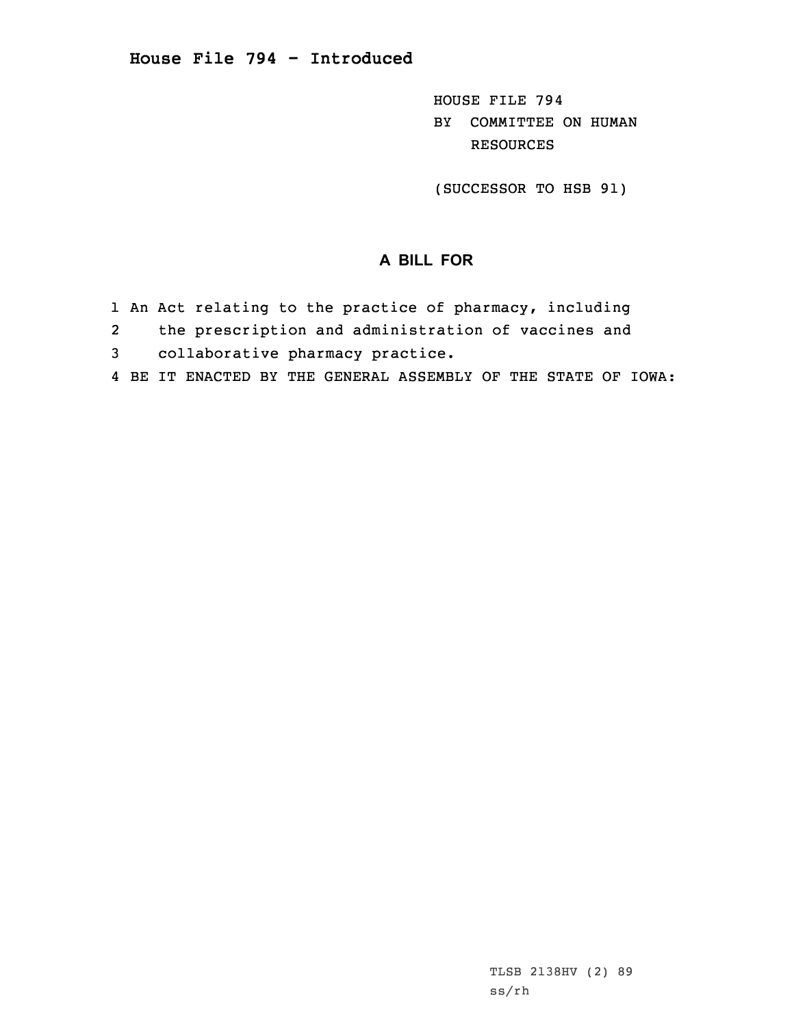HOUSE FILE 794 BY COMMITTEE ON HUMAN RESOURCES

(SUCCESSOR TO HSB 91)

## **A BILL FOR**

- 1 An Act relating to the practice of pharmacy, including
- 2the prescription and administration of vaccines and
- 3 collaborative pharmacy practice.
- 4 BE IT ENACTED BY THE GENERAL ASSEMBLY OF THE STATE OF IOWA: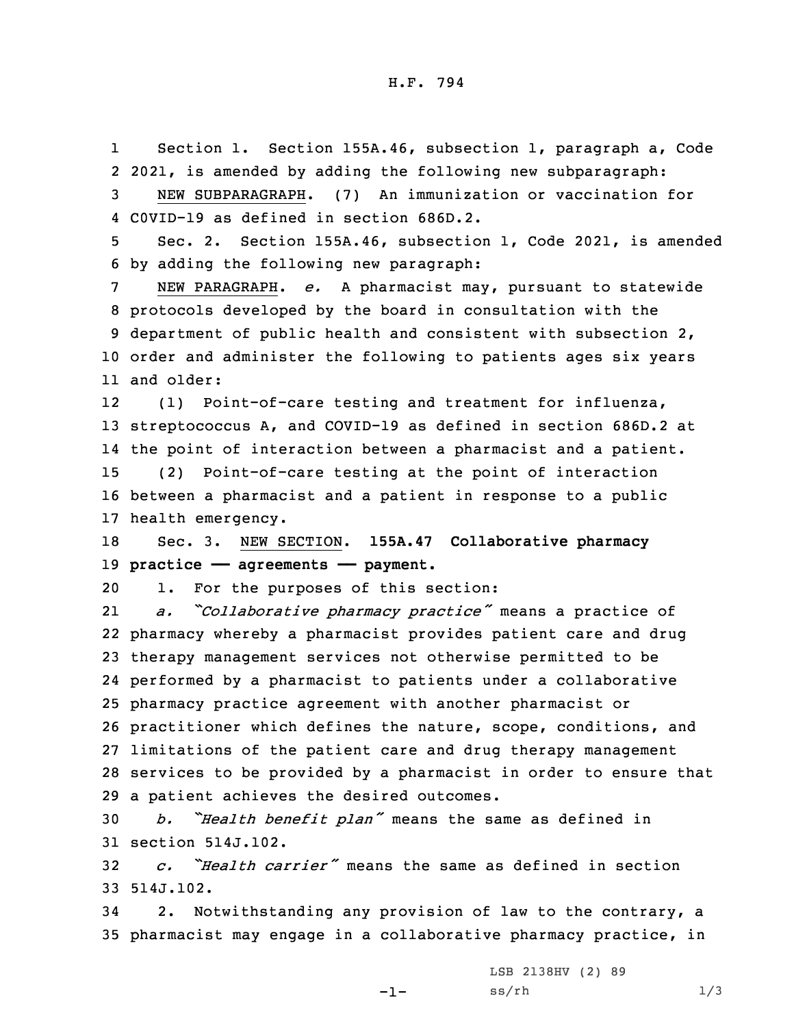1 Section 1. Section 155A.46, subsection 1, paragraph a, Code 2 2021, is amended by adding the following new subparagraph:

3 NEW SUBPARAGRAPH. (7) An immunization or vaccination for 4 C0VID-19 as defined in section 686D.2.

5 Sec. 2. Section 155A.46, subsection 1, Code 2021, is amended 6 by adding the following new paragraph:

 NEW PARAGRAPH. *e.* <sup>A</sup> pharmacist may, pursuant to statewide protocols developed by the board in consultation with the department of public health and consistent with subsection 2, order and administer the following to patients ages six years and older:

12 (1) Point-of-care testing and treatment for influenza, streptococcus A, and COVID-19 as defined in section 686D.2 at the point of interaction between <sup>a</sup> pharmacist and <sup>a</sup> patient. (2) Point-of-care testing at the point of interaction between <sup>a</sup> pharmacist and <sup>a</sup> patient in response to <sup>a</sup> public health emergency.

18 Sec. 3. NEW SECTION. **155A.47 Collaborative pharmacy** 19 **practice —— agreements —— payment.**

20 1. For the purposes of this section:

21 *a. "Collaborative pharmacy practice"* means <sup>a</sup> practice of pharmacy whereby <sup>a</sup> pharmacist provides patient care and drug therapy management services not otherwise permitted to be performed by <sup>a</sup> pharmacist to patients under <sup>a</sup> collaborative pharmacy practice agreement with another pharmacist or practitioner which defines the nature, scope, conditions, and limitations of the patient care and drug therapy management services to be provided by <sup>a</sup> pharmacist in order to ensure that <sup>a</sup> patient achieves the desired outcomes.

<sup>30</sup> *b. "Health benefit plan"* means the same as defined in 31 section 514J.102.

32 *c. "Health carrier"* means the same as defined in section 33 514J.102.

34 2. Notwithstanding any provision of law to the contrary, <sup>a</sup> 35 pharmacist may engage in <sup>a</sup> collaborative pharmacy practice, in

 $-1-$ 

LSB 2138HV (2) 89  $ss/rh$   $1/3$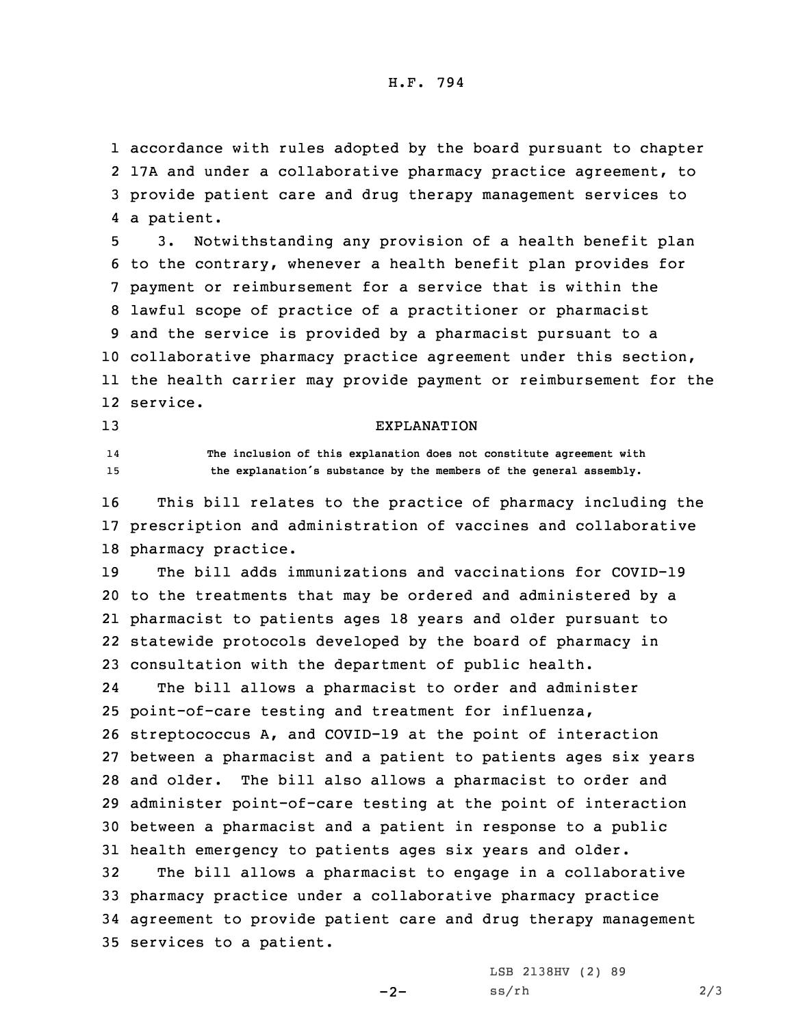## H.F. 794

 accordance with rules adopted by the board pursuant to chapter 17A and under <sup>a</sup> collaborative pharmacy practice agreement, to provide patient care and drug therapy management services to <sup>a</sup> patient.

 3. Notwithstanding any provision of <sup>a</sup> health benefit plan to the contrary, whenever <sup>a</sup> health benefit plan provides for payment or reimbursement for <sup>a</sup> service that is within the lawful scope of practice of <sup>a</sup> practitioner or pharmacist and the service is provided by <sup>a</sup> pharmacist pursuant to <sup>a</sup> collaborative pharmacy practice agreement under this section, the health carrier may provide payment or reimbursement for the 12 service.

## 13 EXPLANATION

14

 **The inclusion of this explanation does not constitute agreement with** <sup>15</sup> **the explanation's substance by the members of the general assembly.**

16 This bill relates to the practice of pharmacy including the 17 prescription and administration of vaccines and collaborative 18 pharmacy practice.

 The bill adds immunizations and vaccinations for COVID-19 to the treatments that may be ordered and administered by <sup>a</sup> pharmacist to patients ages 18 years and older pursuant to statewide protocols developed by the board of pharmacy in consultation with the department of public health.

24 The bill allows <sup>a</sup> pharmacist to order and administer point-of-care testing and treatment for influenza, streptococcus A, and COVID-19 at the point of interaction between <sup>a</sup> pharmacist and <sup>a</sup> patient to patients ages six years and older. The bill also allows <sup>a</sup> pharmacist to order and administer point-of-care testing at the point of interaction between <sup>a</sup> pharmacist and <sup>a</sup> patient in response to <sup>a</sup> public health emergency to patients ages six years and older.

 The bill allows <sup>a</sup> pharmacist to engage in <sup>a</sup> collaborative pharmacy practice under <sup>a</sup> collaborative pharmacy practice agreement to provide patient care and drug therapy management services to <sup>a</sup> patient.

 $-2-$ 

LSB 2138HV (2) 89  $ss/rh$  2/3